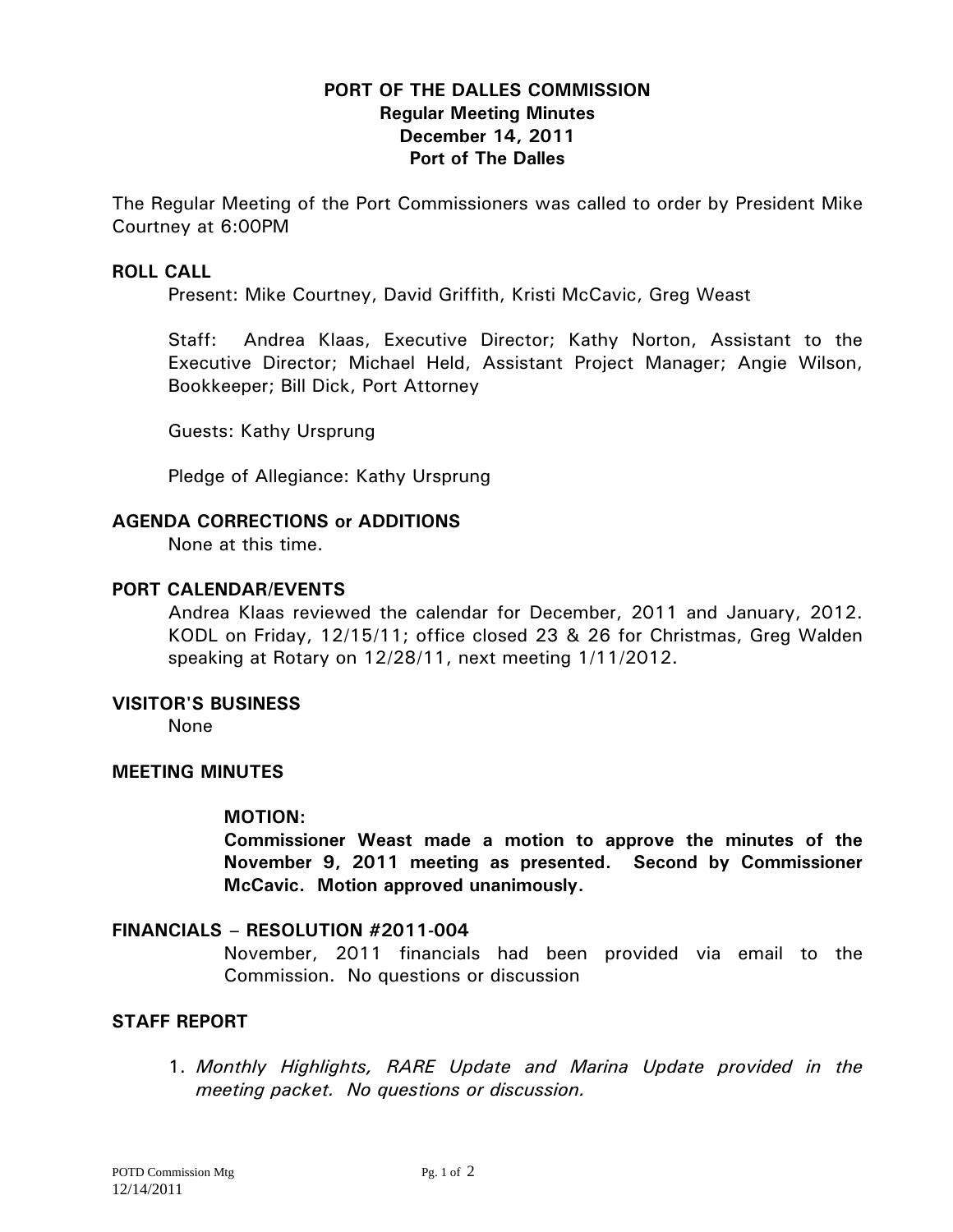## **PORT OF THE DALLES COMMISSION Regular Meeting Minutes December 14, 2011 Port of The Dalles**

The Regular Meeting of the Port Commissioners was called to order by President Mike Courtney at 6:00PM

## **ROLL CALL**

Present: Mike Courtney, David Griffith, Kristi McCavic, Greg Weast

Staff: Andrea Klaas, Executive Director; Kathy Norton, Assistant to the Executive Director; Michael Held, Assistant Project Manager; Angie Wilson, Bookkeeper; Bill Dick, Port Attorney

Guests: Kathy Ursprung

Pledge of Allegiance: Kathy Ursprung

## **AGENDA CORRECTIONS or ADDITIONS**

None at this time.

## **PORT CALENDAR/EVENTS**

Andrea Klaas reviewed the calendar for December, 2011 and January, 2012. KODL on Friday, 12/15/11; office closed 23 & 26 for Christmas, Greg Walden speaking at Rotary on 12/28/11, next meeting 1/11/2012.

## **VISITOR'S BUSINESS**

None

#### **MEETING MINUTES**

#### **MOTION:**

**Commissioner Weast made a motion to approve the minutes of the November 9, 2011 meeting as presented. Second by Commissioner McCavic. Motion approved unanimously.** 

## **FINANCIALS – RESOLUTION #2011-004**

November, 2011 financials had been provided via email to the Commission. No questions or discussion

## **STAFF REPORT**

1. *Monthly Highlights, RARE Update and Marina Update provided in the meeting packet. No questions or discussion.*